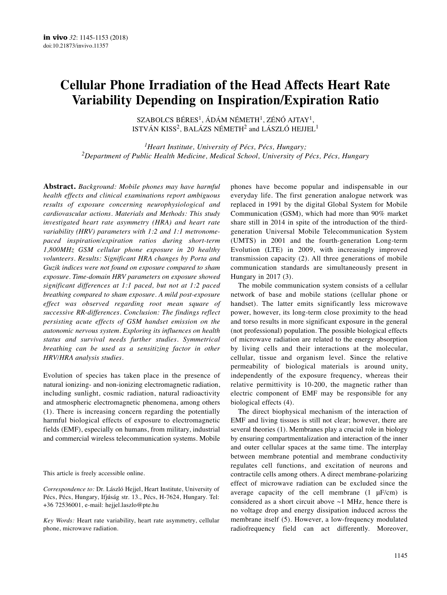# **Cellular Phone Irradiation of the Head Affects Heart Rate Variability Depending on Inspiration/Expiration Ratio**

SZABOLCS BÉRES<sup>1</sup>, ÁDÁM NÉMETH<sup>1</sup>, ZÉNÓ AJTAY<sup>1</sup>, ISTVÁN KISS2, BALÁZS NÉMETH<sup>2</sup> and LÁSZLÓ HEJJEL<sup>1</sup>

*1Heart Institute, University of Pécs, Pécs, Hungary; 2Department of Public Health Medicine, Medical School, University of Pécs, Pécs, Hungary*

**Abstract.** *Background: Mobile phones may have harmful health effects and clinical examinations report ambiguous results of exposure concerning neurophysiological and cardiovascular actions. Materials and Methods: This study investigated heart rate asymmetry (HRA) and heart rate variability (HRV) parameters with 1:2 and 1:1 metronomepaced inspiration/expiration ratios during short-term 1,800MHz GSM cellular phone exposure in 20 healthy volunteers. Results: Significant HRA changes by Porta and Guzik indices were not found on exposure compared to sham exposure. Time-domain HRV parameters on exposure showed significant differences at 1:1 paced, but not at 1:2 paced breathing compared to sham exposure. A mild post-exposure effect was observed regarding root mean square of successive RR-differences. Conclusion: The findings reflect persisting acute effects of GSM handset emission on the autonomic nervous system. Exploring its influences on health status and survival needs further studies. Symmetrical breathing can be used as a sensitizing factor in other HRV/HRA analysis studies.*

Evolution of species has taken place in the presence of natural ionizing- and non-ionizing electromagnetic radiation, including sunlight, cosmic radiation, natural radioactivity and atmospheric electromagnetic phenomena, among others (1). There is increasing concern regarding the potentially harmful biological effects of exposure to electromagnetic fields (EMF), especially on humans, from military, industrial and commercial wireless telecommunication systems. Mobile

This article is freely accessible online.

*Correspondence to:* Dr. László Hejjel, Heart Institute, University of Pécs, Pécs, Hungary, Ifjúság str. 13., Pécs, H-7624, Hungary. Tel: +36 72536001, e-mail: hejjel.laszlo@pte.hu

*Key Words:* Heart rate variability, heart rate asymmetry, cellular phone, microwave radiation.

phones have become popular and indispensable in our everyday life. The first generation analogue network was replaced in 1991 by the digital Global System for Mobile Communication (GSM), which had more than 90% market share still in 2014 in spite of the introduction of the thirdgeneration Universal Mobile Telecommunication System (UMTS) in 2001 and the fourth-generation Long-term Evolution (LTE) in 2009, with increasingly improved transmission capacity (2). All three generations of mobile communication standards are simultaneously present in Hungary in 2017 (3).

The mobile communication system consists of a cellular network of base and mobile stations (cellular phone or handset). The latter emits significantly less microwave power, however, its long-term close proximity to the head and torso results in more significant exposure in the general (not professional) population. The possible biological effects of microwave radiation are related to the energy absorption by living cells and their interactions at the molecular, cellular, tissue and organism level. Since the relative permeability of biological materials is around unity, independently of the exposure frequency, whereas their relative permittivity is 10-200, the magnetic rather than electric component of EMF may be responsible for any biological effects (4).

The direct biophysical mechanism of the interaction of EMF and living tissues is still not clear; however, there are several theories (1). Membranes play a crucial role in biology by ensuring compartmentalization and interaction of the inner and outer cellular spaces at the same time. The interplay between membrane potential and membrane conductivity regulates cell functions, and excitation of neurons and contractile cells among others. A direct membrane-polarizing effect of microwave radiation can be excluded since the average capacity of the cell membrane  $(1 \mu F/cm)$  is considered as a short circuit above ~1 MHz, hence there is no voltage drop and energy dissipation induced across the membrane itself (5). However, a low-frequency modulated radiofrequency field can act differently. Moreover,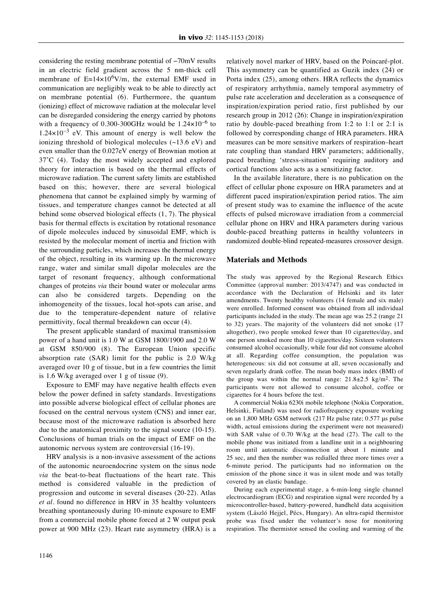considering the resting membrane potential of −70mV results in an electric field gradient across the 5 nm-thick cell membrane of  $E \approx 14 \times 10^6$ V/m, the external EMF used in communication are negligibly weak to be able to directly act on membrane potential (6). Furthermore, the quantum (ionizing) effect of microwave radiation at the molecular level can be disregarded considering the energy carried by photons with a frequency of 0.300-300GHz would be  $1.24\times10^{-6}$  to  $1.24\times10^{-3}$  eV. This amount of energy is well below the ionizing threshold of biological molecules (~13.6 eV) and even smaller than the 0.027eV energy of Brownian motion at 37˚C (4). Today the most widely accepted and explored theory for interaction is based on the thermal effects of microwave radiation. The current safety limits are established based on this; however, there are several biological phenomena that cannot be explained simply by warming of tissues, and temperature changes cannot be detected at all behind some observed biological effects (1, 7). The physical basis for thermal effects is excitation by rotational resonance of dipole molecules induced by sinusoidal EMF, which is resisted by the molecular moment of inertia and friction with the surrounding particles, which increases the thermal energy of the object, resulting in its warming up. In the microwave range, water and similar small dipolar molecules are the target of resonant frequency, although conformational changes of proteins *via* their bound water or molecular arms can also be considered targets. Depending on the inhomogeneity of the tissues, local hot-spots can arise, and due to the temperature-dependent nature of relative permittivity, focal thermal breakdown can occur (4).

The present applicable standard of maximal transmission power of a hand unit is 1.0 W at GSM 1800/1900 and 2.0 W at GSM 850/900 (8). The European Union specific absorption rate (SAR) limit for the public is 2.0 W/kg averaged over 10 g of tissue, but in a few countries the limit is 1.6 W/kg averaged over 1 g of tissue (9).

Exposure to EMF may have negative health effects even below the power defined in safety standards. Investigations into possible adverse biological effect of cellular phones are focused on the central nervous system (CNS) and inner ear, because most of the microwave radiation is absorbed here due to the anatomical proximity to the signal source (10-15). Conclusions of human trials on the impact of EMF on the autonomic nervous system are controversial (16-19).

HRV analysis is a non-invasive assessment of the actions of the autonomic neuroendocrine system on the sinus node *via* the beat-to-beat fluctuations of the heart rate. This method is considered valuable in the prediction of progression and outcome in several diseases (20-22). Atlas *et al.* found no difference in HRV in 35 healthy volunteers breathing spontaneously during 10-minute exposure to EMF from a commercial mobile phone forced at 2 W output peak power at 900 MHz (23). Heart rate asymmetry (HRA) is a relatively novel marker of HRV, based on the Poincaré-plot. This asymmetry can be quantified as Guzik index (24) or Porta index (25), among others. HRA reflects the dynamics of respiratory arrhythmia, namely temporal asymmetry of pulse rate acceleration and deceleration as a consequence of inspiration/expiration period ratio, first published by our research group in 2012 (26): Change in inspiration/expiration ratio by double-paced breathing from 1:2 to 1:1 or 2:1 is followed by corresponding change of HRA parameters. HRA measures can be more sensitive markers of respiration–heart rate coupling than standard HRV parameters; additionally, paced breathing 'stress-situation' requiring auditory and cortical functions also acts as a sensitizing factor.

In the available literature, there is no publication on the effect of cellular phone exposure on HRA parameters and at different paced inspiration/expiration period ratios. The aim of present study was to examine the influence of the acute effects of pulsed microwave irradiation from a commercial cellular phone on HRV and HRA parameters during various double-paced breathing patterns in healthy volunteers in randomized double-blind repeated-measures crossover design.

### **Materials and Methods**

The study was approved by the Regional Research Ethics Committee (approval number: 2013/4747) and was conducted in accordance with the Declaration of Helsinki and its later amendments. Twenty healthy volunteers (14 female and six male) were enrolled. Informed consent was obtained from all individual participants included in the study. The mean age was 25.2 (range 21 to 32) years. The majority of the volunteers did not smoke (17 altogether), two people smoked fewer than 10 cigarettes/day, and one person smoked more than 10 cigarettes/day. Sixteen volunteers consumed alcohol occasionally, while four did not consume alcohol at all. Regarding coffee consumption, the population was heterogeneous: six did not consume at all, seven occasionally and seven regularly drank coffee. The mean body mass index (BMI) of the group was within the normal range:  $21.8 \pm 2.5$  kg/m<sup>2</sup>. The participants were not allowed to consume alcohol, coffee or cigarettes for 4 hours before the test.

A commercial Nokia 6230i mobile telephone (Nokia Corporation, Helsinki, Finland) was used for radiofrequency exposure working on an 1,800 MHz GSM network (217 Hz pulse rate; 0.577 μs pulse width, actual emissions during the experiment were not measured) with SAR value of 0.70 W/kg at the head (27). The call to the mobile phone was initiated from a landline unit in a neighbouring room until automatic disconnection at about 1 minute and 25 sec, and then the number was redialled three more times over a 6-minute period. The participants had no information on the emission of the phone since it was in silent mode and was totally covered by an elastic bandage.

During each experimental stage, a 6-min-long single channel electrocardiogram (ECG) and respiration signal were recorded by a microcontroller-based, battery-powered, handheld data acquisition system (László Hejjel, Pécs, Hungary). An ultra-rapid thermistor probe was fixed under the volunteer's nose for monitoring respiration. The thermistor sensed the cooling and warming of the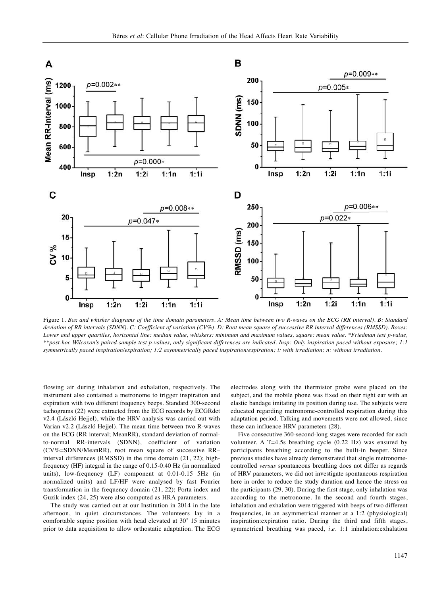

Figure 1. Box and whisker diagrams of the time domain parameters. A: Mean time between two R-waves on the ECG (RR interval). B: Standard deviation of RR intervals (SDNN). C: Coefficient of variation (CV%). D: Root mean square of successive RR interval differences (RMSSD). Boxes: Lower and upper quartiles, horizontal line: median value, whiskers: minimum and maximum values, square: mean value. \*Friedman test p-value, \*\*post-hoc Wilcoxon's paired-sample test p-values, only significant differences are indicated. Insp: Only inspiration paced without exposure; 1:1 symmetrically paced inspiration/expiration; 1:2 asymmetrically paced inspiration/expiration; i: with irradiation; n: without irradiation.

flowing air during inhalation and exhalation, respectively. The instrument also contained a metronome to trigger inspiration and expiration with two different frequency beeps. Standard 300-second tachograms (22) were extracted from the ECG records by ECGRdet v2.4 (László Hejjel), while the HRV analysis was carried out with Varian v2.2 (László Hejjel). The mean time between two R-waves on the ECG (RR interval; MeanRR), standard deviation of normalto-normal RR-intervals (SDNN), coefficient of variation (CV%=SDNN/MeanRR), root mean square of successive RR– interval differences (RMSSD) in the time domain (21, 22); highfrequency (HF) integral in the range of 0.15-0.40 Hz (in normalized units), low-frequency (LF) component at 0.01-0.15 5Hz (in normalized units) and LF/HF were analysed by fast Fourier transformation in the frequency domain (21, 22); Porta index and Guzik index (24, 25) were also computed as HRA parameters.

The study was carried out at our Institution in 2014 in the late afternoon, in quiet circumstances. The volunteers lay in a comfortable supine position with head elevated at 30˚ 15 minutes prior to data acquisition to allow orthostatic adaptation. The ECG electrodes along with the thermistor probe were placed on the subject, and the mobile phone was fixed on their right ear with an elastic bandage imitating its position during use. The subjects were educated regarding metronome-controlled respiration during this adaptation period. Talking and movements were not allowed, since these can influence HRV parameters (28).

Five consecutive 360-second-long stages were recorded for each volunteer. A T=4.5s breathing cycle (0.22 Hz) was ensured by participants breathing according to the built-in beeper. Since previous studies have already demonstrated that single metronomecontrolled *versus* spontaneous breathing does not differ as regards of HRV parameters, we did not investigate spontaneous respiration here in order to reduce the study duration and hence the stress on the participants (29, 30). During the first stage, only inhalation was according to the metronome. In the second and fourth stages, inhalation and exhalation were triggered with beeps of two different frequencies, in an asymmetrical manner at a 1:2 (physiological) inspiration:expiration ratio. During the third and fifth stages, symmetrical breathing was paced, *i.e.* 1:1 inhalation:exhalation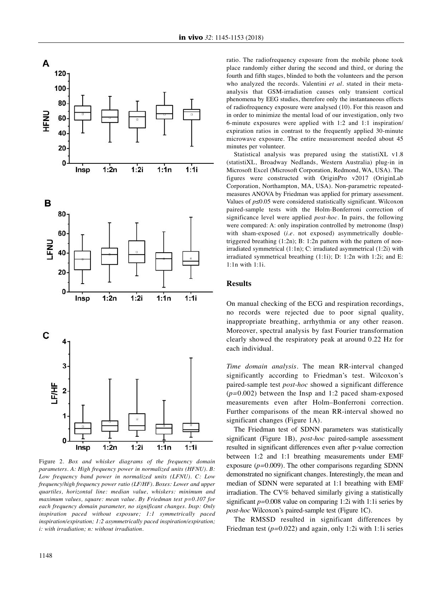

Figure 2. *Box and whisker diagrams of the frequency domain parameters. A: High frequency power in normalized units (HFNU). B: Low frequency band power in normalized units (LFNU). C: Low frequency/high frequency power ratio (LF/HF). Boxes: Lower and upper quartiles, horizontal line: median value, whiskers: minimum and maximum values, square: mean value. By Friedman test p=0.107 for each frequency domain parameter, no significant changes. Insp: Only inspiration paced without exposure; 1:1 symmetrically paced inspiration/expiration; 1:2 asymmetrically paced inspiration/expiration; i: with irradiation; n: without irradiation.*

ratio. The radiofrequency exposure from the mobile phone took place randomly either during the second and third, or during the fourth and fifth stages, blinded to both the volunteers and the person who analyzed the records. Valentini *et al.* stated in their metaanalysis that GSM-irradiation causes only transient cortical phenomena by EEG studies, therefore only the instantaneous effects of radiofrequency exposure were analysed (10). For this reason and in order to minimize the mental load of our investigation, only two 6-minute exposures were applied with 1:2 and 1:1 inspiration/ expiration ratios in contrast to the frequently applied 30-minute microwave exposure. The entire measurement needed about 45 minutes per volunteer.

Statistical analysis was prepared using the statistiXL v1.8 (statistiXL, Broadway Nedlands, Western Australia) plug-in in Microsoft Excel (Microsoft Corporation, Redmond, WA, USA). The figures were constructed with OriginPro v2017 (OriginLab Corporation, Northampton, MA, USA). Non-parametric repeatedmeasures ANOVA by Friedman was applied for primary assessment. Values of *p≤*0.05 were considered statistically significant. Wilcoxon paired-sample tests with the Holm-Bonferroni correction of significance level were applied *post-hoc*. In pairs, the following were compared: A: only inspiration controlled by metronome (Insp) with sham-exposed (*i.e.* not exposed) asymmetrically doubletriggered breathing (1:2n); B: 1:2n pattern with the pattern of nonirradiated symmetrical (1:1n); C: irradiated asymmetrical (1:2i) with irradiated symmetrical breathing (1:1i); D: 1:2n with 1:2i; and E: 1:1n with 1:1i.

### **Results**

On manual checking of the ECG and respiration recordings, no records were rejected due to poor signal quality, inappropriate breathing, arrhythmia or any other reason. Moreover, spectral analysis by fast Fourier transformation clearly showed the respiratory peak at around 0.22 Hz for each individual.

*Time domain analysis.* The mean RR-interval changed significantly according to Friedman's test. Wilcoxon's paired-sample test *post-hoc* showed a significant difference (*p=*0.002) between the Insp and 1:2 paced sham-exposed measurements even after Holm–Bonferroni correction. Further comparisons of the mean RR-interval showed no significant changes (Figure 1A).

The Friedman test of SDNN parameters was statistically significant (Figure 1B), *post-hoc* paired-sample assessment resulted in significant differences even after p-value correction between 1:2 and 1:1 breathing measurements under EMF exposure (*p=*0.009). The other comparisons regarding SDNN demonstrated no significant changes. Interestingly, the mean and median of SDNN were separated at 1:1 breathing with EMF irradiation. The CV% behaved similarly giving a statistically significant *p=*0.008 value on comparing 1:2i with 1:1i series by *post-hoc* Wilcoxon's paired-sample test (Figure 1C).

The RMSSD resulted in significant differences by Friedman test (*p=*0.022) and again, only 1:2i with 1:1i series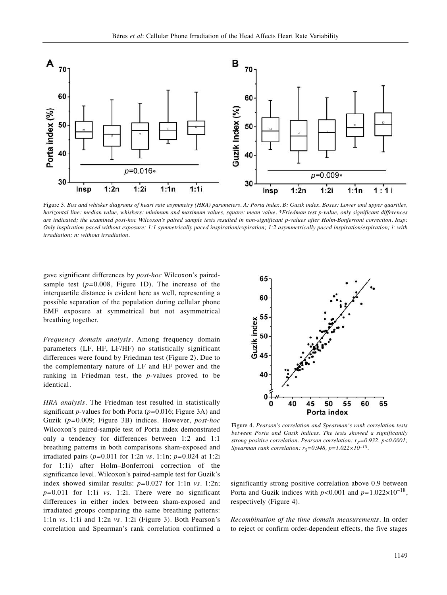

Figure 3. Box and whisker diagrams of heart rate asymmetry (HRA) parameters. A: Porta index. B: Guzik index. Boxes: Lower and upper quartiles, horizontal line: median value, whiskers: minimum and maximum values, square: mean value. \*Friedman test p-value, only significant differences are indicated; the examined post-hoc Wilcoxon's paired sample tests resulted in non-significant p-values after Holm-Bonferroni correction. Insp: Only inspiration paced without exposure; 1:1 symmetrically paced inspiration/expiration; 1:2 asymmetrically paced inspiration/expiration; i: with *irradiation; n: without irradiation.*

gave significant differences by *post-hoc* Wilcoxon's pairedsample test (*p=*0.008, Figure 1D). The increase of the interquartile distance is evident here as well, representing a possible separation of the population during cellular phone EMF exposure at symmetrical but not asymmetrical breathing together.

*Frequency domain analysis.* Among frequency domain parameters (LF, HF, LF/HF) no statistically significant differences were found by Friedman test (Figure 2). Due to the complementary nature of LF and HF power and the ranking in Friedman test, the *p*-values proved to be identical.

*HRA analysis.* The Friedman test resulted in statistically significant *p*-values for both Porta (*p=*0.016; Figure 3A) and Guzik (*p=*0.009; Figure 3B) indices. However, *post-hoc* Wilcoxon's paired-sample test of Porta index demonstrated only a tendency for differences between 1:2 and 1:1 breathing patterns in both comparisons sham-exposed and irradiated pairs (*p=*0.011 for 1:2n *vs.* 1:1n; *p=*0.024 at 1:2i for 1:1i) after Holm–Bonferroni correction of the significance level. Wilcoxon's paired-sample test for Guzik's index showed similar results: *p=*0.027 for 1:1n *vs.* 1:2n; *p=*0.011 for 1:1i *vs.* 1:2i. There were no significant differences in either index between sham-exposed and irradiated groups comparing the same breathing patterns: 1:1n *vs.* 1:1i and 1:2n *vs.* 1:2i (Figure 3). Both Pearson's correlation and Spearman's rank correlation confirmed a



Figure 4. *Pearson's correlation and Spearman's rank correlation tests between Porta and Guzik indices. The tests showed a significantly strong positive correlation. Pearson correlation:*  $r_P=0.932$ ,  $p<0.0001$ ; *Spearman rank correlation:*  $r_S = 0.948$ ,  $p = 1.022 \times 10^{-18}$ .

significantly strong positive correlation above 0.9 between Porta and Guzik indices with *p<*0.001 and *p=*1.022×10–18, respectively (Figure 4).

*Recombination of the time domain measurements.* In order to reject or confirm order-dependent effects, the five stages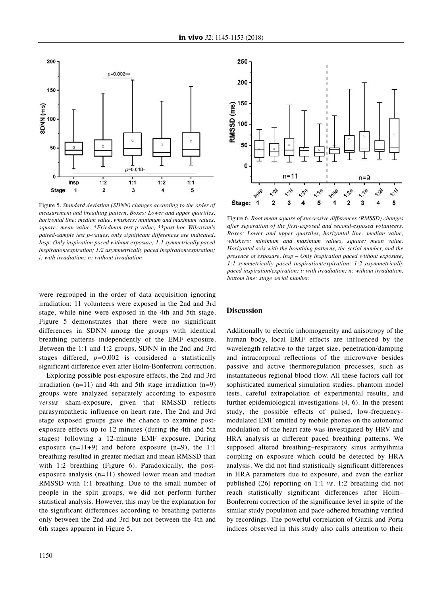

Figure 5. *Standard deviation (SDNN) changes according to the order of measurement and breathing pattern. Boxes: Lower and upper quartiles, horizontal line: median value, whiskers: minimum and maximum values, square: mean value. \*Friedman test p-value, \*\*post-hoc Wilcoxon's paired-sample test p-values, only significant differences are indicated. Insp: Only inspiration paced without exposure; 1:1 symmetrically paced inspiration/expiration; 1:2 asymmetrically paced inspiration/expiration; i: with irradiation; n: without irradiation.*

were regrouped in the order of data acquisition ignoring irradiation: 11 volunteers were exposed in the 2nd and 3rd stage, while nine were exposed in the 4th and 5th stage. Figure 5 demonstrates that there were no significant differences in SDNN among the groups with identical breathing patterns independently of the EMF exposure. Between the 1:1 and 1:2 groups, SDNN in the 2nd and 3rd stages differed, *p=*0.002 is considered a statistically significant difference even after Holm-Bonferroni correction.

Exploring possible post-exposure effects, the 2nd and 3rd irradiation  $(n=11)$  and 4th and 5th stage irradiation  $(n=9)$ groups were analyzed separately according to exposure *versus* sham-exposure, given that RMSSD reflects parasympathetic influence on heart rate. The 2nd and 3rd stage exposed groups gave the chance to examine postexposure effects up to 12 minutes (during the 4th and 5th stages) following a 12-minute EMF exposure. During exposure (n=11+9) and before exposure (n=9), the 1:1 breathing resulted in greater median and mean RMSSD than with 1:2 breathing (Figure 6). Paradoxically, the postexposure analysis (n=11) showed lower mean and median RMSSD with 1:1 breathing. Due to the small number of people in the split groups, we did not perform further statistical analysis. However, this may be the explanation for the significant differences according to breathing patterns only between the 2nd and 3rd but not between the 4th and 6th stages apparent in Figure 5.



Figure 6. *Root mean square of successive differences (RMSSD) changes after separation of the first-exposed and second-exposed volunteers. Boxes: Lower and upper quartiles, horizontal line: median value, whiskers: minimum and maximum values, square: mean value. Horizontal axis with the breathing patterns, the serial number, and the presence of exposure. Insp – Only inspiration paced without exposure, 1:1 symmetrically paced inspiration/expiration; 1:2 asymmetrically paced inspiration/expiration; i: with irradiation; n: without irradiation, bottom line: stage serial number.*

#### **Discussion**

Additionally to electric inhomogeneity and anisotropy of the human body, local EMF effects are influenced by the wavelength relative to the target size, penetration/damping and intracorporal reflections of the microwave besides passive and active thermoregulation processes, such as instantaneous regional blood flow. All these factors call for sophisticated numerical simulation studies, phantom model tests, careful extrapolation of experimental results, and further epidemiological investigations (4, 6). In the present study, the possible effects of pulsed, low-frequencymodulated EMF emitted by mobile phones on the autonomic modulation of the heart rate was investigated by HRV and HRA analysis at different paced breathing patterns. We supposed altered breathing–respiratory sinus arrhythmia coupling on exposure which could be detected by HRA analysis. We did not find statistically significant differences in HRA parameters due to exposure, and even the earlier published (26) reporting on 1:1 *vs.* 1:2 breathing did not reach statistically significant differences after Holm– Bonferroni correction of the significance level in spite of the similar study population and pace-adhered breathing verified by recordings. The powerful correlation of Guzik and Porta indices observed in this study also calls attention to their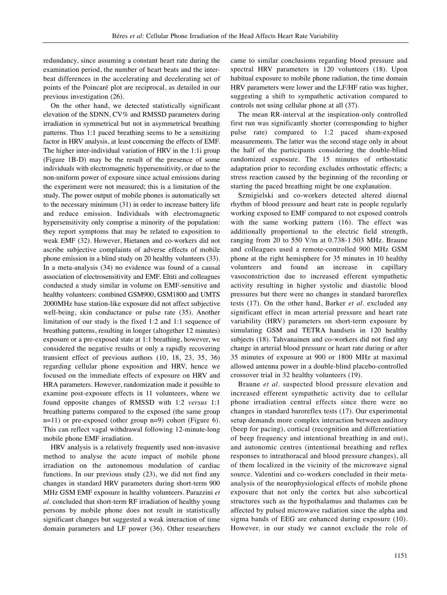redundancy, since assuming a constant heart rate during the examination period, the number of heart beats and the interbeat differences in the accelerating and decelerating set of points of the Poincaré plot are reciprocal, as detailed in our previous investigation (26).

On the other hand, we detected statistically significant elevation of the SDNN, CV% and RMSSD parameters during irradiation in symmetrical but not in asymmetrical breathing patterns. Thus 1:1 paced breathing seems to be a sensitizing factor in HRV analysis, at least concerning the effects of EMF. The higher inter-individual variation of HRV in the 1:1i group (Figure 1B-D) may be the result of the presence of some individuals with electromagnetic hypersensitivity, or due to the non-uniform power of exposure since actual emissions during the experiment were not measured; this is a limitation of the study. The power output of mobile phones is automatically set to the necessary minimum (31) in order to increase battery life and reduce emission. Individuals with electromagnetic hypersensitivity only comprise a minority of the population: they report symptoms that may be related to exposition to weak EMF (32). However, Hietanen and co-workers did not ascribe subjective complaints of adverse effects of mobile phone emission in a blind study on 20 healthy volunteers (33). In a meta-analysis (34) no evidence was found of a causal association of electrosensitivity and EMF. Eltiti and colleagues conducted a study similar in volume on EMF-sensitive and healthy volunteers: combined GSM900, GSM1800 and UMTS 2000MHz base station-like exposure did not affect subjective well-being, skin conductance or pulse rate (35). Another limitation of our study is the fixed 1:2 and 1:1 sequence of breathing patterns, resulting in longer (altogether 12 minutes) exposure or a pre-exposed state at 1:1 breathing, however, we considered the negative results or only a rapidly recovering transient effect of previous authors (10, 18, 23, 35, 36) regarding cellular phone exposition and HRV, hence we focused on the immediate effects of exposure on HRV and HRA parameters. However, randomization made it possible to examine post-exposure effects in 11 volunteers, where we found opposite changes of RMSSD with 1:2 *versus* 1:1 breathing patterns compared to the exposed (the same group n=11) or pre-exposed (other group n=9) cohort (Figure 6). This can reflect vagal withdrawal following 12-minute-long mobile phone EMF irradiation.

HRV analysis is a relatively frequently used non-invasive method to analyse the acute impact of mobile phone irradiation on the autonomous modulation of cardiac functions. In our previous study (23), we did not find any changes in standard HRV parameters during short-term 900 MHz GSM EMF exposure in healthy volunteers. Parazzini *et al.* concluded that short-term RF irradiation of healthy young persons by mobile phone does not result in statistically significant changes but suggested a weak interaction of time domain parameters and LF power (36). Other researchers

came to similar conclusions regarding blood pressure and spectral HRV parameters in 120 volunteers (18). Upon habitual exposure to mobile phone radiation, the time domain HRV parameters were lower and the LF/HF ratio was higher, suggesting a shift to sympathetic activation compared to controls not using cellular phone at all (37).

The mean RR-interval at the inspiration-only controlled first run was significantly shorter (corresponding to higher pulse rate) compared to 1:2 paced sham-exposed measurements. The latter was the second stage only in about the half of the participants considering the double-blind randomized exposure. The 15 minutes of orthostatic adaptation prior to recording excludes orthostatic effects; a stress reaction caused by the beginning of the recording or starting the paced breathing might be one explanation.

Szmigielski and co-workers detected altered diurnal rhythm of blood pressure and heart rate in people regularly working exposed to EMF compared to not exposed controls with the same working pattern (16). The effect was additionally proportional to the electric field strength, ranging from 20 to 550 V/m at 0.738-1.503 MHz. Braune and colleagues used a remote-controlled 900 MHz GSM phone at the right hemisphere for 35 minutes in 10 healthy volunteers and found an increase in capillary vasoconstriction due to increased efferent sympathetic activity resulting in higher systolic and diastolic blood pressures but there were no changes in standard baroreflex tests (17). On the other hand, Barker *et al.* excluded any significant effect in mean arterial pressure and heart rate variability (HRV) parameters on short-term exposure by simulating GSM and TETRA handsets in 120 healthy subjects (18). Tahvanainen and co-workers did not find any change in arterial blood pressure or heart rate during or after 35 minutes of exposure at 900 or 1800 MHz at maximal allowed antenna power in a double-blind placebo-controlled crossover trial in 32 healthy volunteers (19).

Braune *et al.* suspected blood pressure elevation and increased efferent sympathetic activity due to cellular phone irradiation central effects since there were no changes in standard baroreflex tests (17). Our experimental setup demands more complex interaction between auditory (beep for pacing), cortical (recognition and differentiation of beep frequency and intentional breathing in and out), and autonomic centres (intentional breathing and reflex responses to intrathoracal and blood pressure changes), all of them localized in the vicinity of the microwave signal source. Valentini and co-workers concluded in their metaanalysis of the neurophysiological effects of mobile phone exposure that not only the cortex but also subcortical structures such as the hypothalamus and thalamus can be affected by pulsed microwave radiation since the alpha and sigma bands of EEG are enhanced during exposure (10). However, in our study we cannot exclude the role of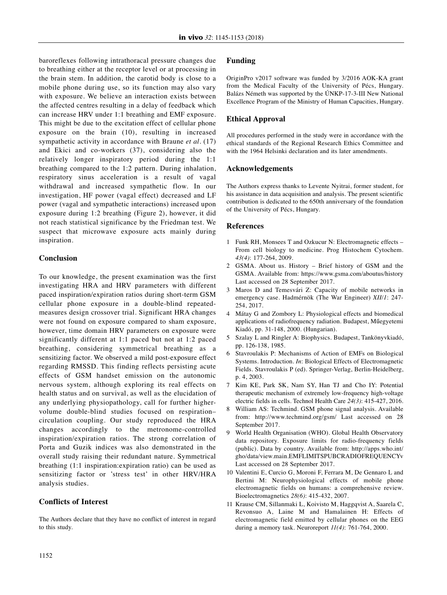baroreflexes following intrathoracal pressure changes due to breathing either at the receptor level or at processing in the brain stem. In addition, the carotid body is close to a mobile phone during use, so its function may also vary with exposure. We believe an interaction exists between the affected centres resulting in a delay of feedback which can increase HRV under 1:1 breathing and EMF exposure. This might be due to the excitation effect of cellular phone exposure on the brain (10), resulting in increased sympathetic activity in accordance with Braune *et al.* (17) and Ekici and co-workers (37), considering also the relatively longer inspiratory period during the 1:1 breathing compared to the 1:2 pattern. During inhalation, respiratory sinus acceleration is a result of vagal withdrawal and increased sympathetic flow. In our investigation, HF power (vagal effect) decreased and LF power (vagal and sympathetic interactions) increased upon exposure during 1:2 breathing (Figure 2), however, it did not reach statistical significance by the Friedman test. We suspect that microwave exposure acts mainly during inspiration.

# **Conclusion**

To our knowledge, the present examination was the first investigating HRA and HRV parameters with different paced inspiration/expiration ratios during short-term GSM cellular phone exposure in a double-blind repeatedmeasures design crossover trial. Significant HRA changes were not found on exposure compared to sham exposure, however, time domain HRV parameters on exposure were significantly different at 1:1 paced but not at 1:2 paced breathing, considering symmetrical breathing as a sensitizing factor. We observed a mild post-exposure effect regarding RMSSD. This finding reflects persisting acute effects of GSM handset emission on the autonomic nervous system, although exploring its real effects on health status and on survival, as well as the elucidation of any underlying physiopathology, call for further highervolume double-blind studies focused on respiration– circulation coupling. Our study reproduced the HRA changes accordingly to the metronome-controlled inspiration/expiration ratios. The strong correlation of Porta and Guzik indices was also demonstrated in the overall study raising their redundant nature. Symmetrical breathing (1:1 inspiration:expiration ratio) can be used as sensitizing factor or 'stress test' in other HRV/HRA analysis studies.

# **Conflicts of Interest**

The Authors declare that they have no conflict of interest in regard to this study.

## **Funding**

OriginPro v2017 software was funded by 3/2016 AOK-KA grant from the Medical Faculty of the University of Pécs, Hungary. Balázs Németh was supported by the ÚNKP-17-3-III New National Excellence Program of the Ministry of Human Capacities, Hungary.

# **Ethical Approval**

All procedures performed in the study were in accordance with the ethical standards of the Regional Research Ethics Committee and with the 1964 Helsinki declaration and its later amendments.

### **Acknowledgements**

The Authors express thanks to Levente Nyitrai, former student, for his assistance in data acquisition and analysis. The present scientific contribution is dedicated to the 650th anniversary of the foundation of the University of Pécs, Hungary.

### **References**

- 1 Funk RH, Monsees T and Ozkucur N: Electromagnetic effects From cell biology to medicine. Prog Histochem Cytochem. *43(4)*: 177-264, 2009.
- 2 GSMA. About us. History Brief history of GSM and the GSMA. Available from: https://www.gsma.com/aboutus/history Last accessed on 28 September 2017.
- 3 Maros D and Temesvári Z: Capacity of mobile networks in emergency case. Hadmérnök (The War Engineer) *XII/1*: 247- 254, 2017.
- 4 Mátay G and Zombory L: Physiological effects and biomedical applications of radiofrequency radiation. Budapest, Műegyetemi Kiadó, pp. 31-148, 2000. (Hungarian).
- 5 Szalay L and Ringler A: Biophysics. Budapest, Tankönyvkiadó, pp. 126-138, 1985.
- 6 Stavroulakis P: Mechanisms of Action of EMFs on Biological Systems. Introduction. *In*: Biological Effects of Electromagnetic Fields. Stavroulakis P (ed). Springer-Verlag, Berlin-Heidelberg, p. 4, 2003.
- 7 Kim KE, Park SK, Nam SY, Han TJ and Cho IY: Potential therapeutic mechanism of extremely low-frequency high-voltage electric fields in cells. Technol Health Care *24(3)*: 415-427, 2016.
- 8 William AS: Techmind. GSM phone signal analysis. Available from: http://www.techmind.org/gsm/ Last accessed on 28 September 2017.
- World Health Organisation (WHO). Global Health Observatory data repository. Exposure limits for radio-frequency fields (public). Data by country. Available from: http://apps.who.int/ gho/data/view.main.EMFLIMITSPUBCRADIOFREQUENCYv Last accessed on 28 September 2017.
- 10 Valentini E, Curcio G, Moroni F, Ferrara M, De Gennaro L and Bertini M: Neurophysiological effects of mobile phone electromagnetic fields on humans: a comprehensive review. Bioelectromagnetics *28(6)*: 415-432, 2007.
- 11 Krause CM, Sillanmaki L, Koivisto M, Haggqvist A, Saarela C, Revonsuo A, Laine M and Hamalainen H: Effects of electromagnetic field emitted by cellular phones on the EEG during a memory task. Neuroreport *11(4)*: 761-764, 2000.